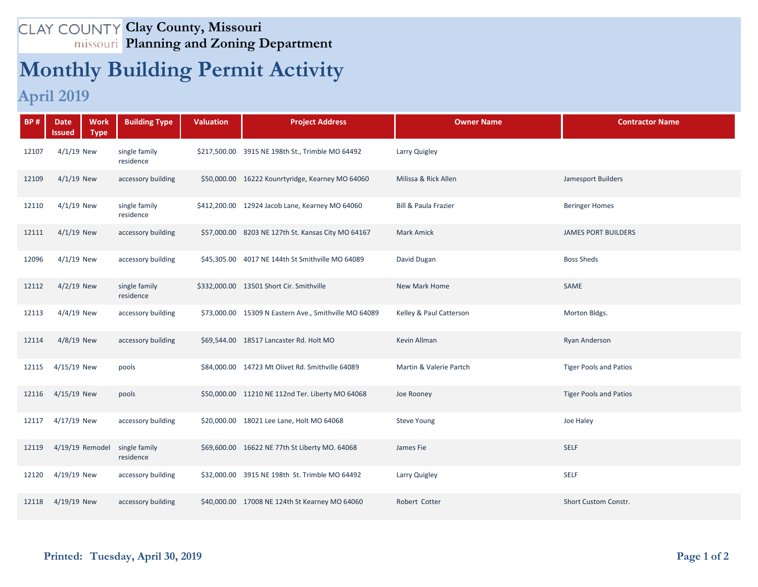## **Clay County, Missouri Planning and Zoning Department**

## **Monthly Building Permit Activity**

## **April 2019**

| <b>BP#</b> | <b>Work</b><br><b>Date</b><br><b>Type</b><br>Issued | <b>Building Type</b>       | <b>Valuation</b> | <b>Project Address</b>                                | <b>Owner Name</b>               | <b>Contractor Name</b>        |
|------------|-----------------------------------------------------|----------------------------|------------------|-------------------------------------------------------|---------------------------------|-------------------------------|
| 12107      | $4/1/19$ New                                        | single family<br>residence |                  | \$217,500.00 3915 NE 198th St., Trimble MO 64492      | Larry Quigley                   |                               |
| 12109      | $4/1/19$ New                                        | accessory building         |                  | \$50,000.00 16222 Kounrtyridge, Kearney MO 64060      | Milissa & Rick Allen            | Jamesport Builders            |
| 12110      | $4/1/19$ New                                        | single family<br>residence |                  | \$412,200.00 12924 Jacob Lane, Kearney MO 64060       | <b>Bill &amp; Paula Frazier</b> | <b>Beringer Homes</b>         |
| 12111      | $4/1/19$ New                                        | accessory building         |                  | \$57,000.00 8203 NE 127th St. Kansas City MO 64167    | Mark Amick                      | <b>JAMES PORT BUILDERS</b>    |
| 12096      | $4/1/19$ New                                        | accessory building         |                  | \$45,305.00 4017 NE 144th St Smithville MO 64089      | David Dugan                     | <b>Boss Sheds</b>             |
| 12112      | $4/2/19$ New                                        | single family<br>residence |                  | \$332,000.00 13501 Short Cir. Smithville              | New Mark Home                   | SAME                          |
| 12113      | $4/4/19$ New                                        | accessory building         |                  | \$73,000.00 15309 N Eastern Ave., Smithville MO 64089 | Kelley & Paul Catterson         | Morton Bldgs.                 |
| 12114      | $4/8/19$ New                                        | accessory building         |                  | \$69,544.00 18517 Lancaster Rd. Holt MO               | Kevin Allman                    | <b>Ryan Anderson</b>          |
| 12115      | 4/15/19 New                                         | pools                      |                  | \$84,000.00 14723 Mt Olivet Rd. Smithville 64089      | Martin & Valerie Partch         | <b>Tiger Pools and Patios</b> |
| 12116      | $4/15/19$ New                                       | pools                      |                  | \$50,000.00 11210 NE 112nd Ter. Liberty MO 64068      | Joe Rooney                      | <b>Tiger Pools and Patios</b> |
| 12117      | 4/17/19 New                                         | accessory building         |                  | \$20,000.00 18021 Lee Lane, Holt MO 64068             | <b>Steve Young</b>              | Joe Haley                     |
| 12119      | 4/19/19 Remodel                                     | single family<br>residence |                  | \$69,600.00 16622 NE 77th St Liberty MO. 64068        | James Fie                       | <b>SELF</b>                   |
| 12120      | 4/19/19 New                                         | accessory building         |                  | \$32,000.00 3915 NE 198th St. Trimble MO 64492        | Larry Quigley                   | <b>SELF</b>                   |
| 12118      | 4/19/19 New                                         | accessory building         |                  | \$40,000.00 17008 NE 124th St Kearney MO 64060        | Robert Cotter                   | Short Custom Constr.          |